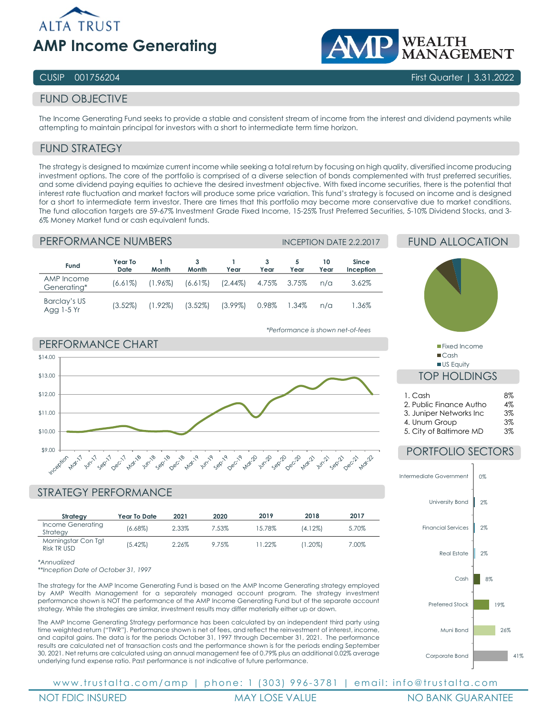

# WEALTH<br>MANAGEMENT

## CUSIP 001756204 First Quarter | 3.31.2022

# FUND OBJECTIVE

The Income Generating Fund seeks to provide a stable and consistent stream of income from the interest and dividend payments while attempting to maintain principal for investors with a short to intermediate term time horizon.

# FUND STRATEGY

The strategy is designed to maximize current income while seeking a total return by focusing on high quality, diversified income producing investment options. The core of the portfolio is comprised of a diverse selection of bonds complemented with trust preferred securities, and some dividend paying equities to achieve the desired investment objective. With fixed income securities, there is the potential that interest rate fluctuation and market factors will produce some price variation. This fund's strategy is focused on income and is designed for a short to intermediate term investor. There are times that this portfolio may become more conservative due to market conditions. The fund allocation targets are 59-67% Investment Grade Fixed Income, 15-25% Trust Preferred Securities, 5-10% Dividend Stocks, and 3- 6% Money Market fund or cash equivalent funds.

#### PERFORMANCE NUMBERS **INCEPTION DATE 2.2.2017**

| Fund                       | Year To<br>Date | Month      | 3<br>Month | Year       | Year  | Year  | 10<br>Year | <b>Since</b><br>Inception |
|----------------------------|-----------------|------------|------------|------------|-------|-------|------------|---------------------------|
| AMP Income<br>Generating*  | $(6.61\%)$      | $(1.96\%)$ | $(6.61\%)$ | $(2.44\%)$ | 4.75% | 3.75% | $n/\alpha$ | 3.62%                     |
| Barclay's US<br>Agg 1-5 Yr | $(3.52\%)$      | $(1.92\%)$ | $(3.52\%)$ | $(3.99\%)$ | 0.98% | 1.34% | $n/\alpha$ | 1.36%                     |

# FUND ALLOCATION



■Cash US Equity

# TOP HOLDINGS

| 1. Cash                  | 8% |
|--------------------------|----|
| 2. Public Finance Autho  | 4% |
| 3. Juniper Networks Inc. | 3% |
| 4. Unum Group            | 3% |
| 5. City of Baltimore MD  | 3% |

# PORTFOLIO SECTORS



#### *\*Performance is shown net-of-fees*



# STRATEGY PERFORMANCE

| Strategy                           | Year To Date | 2021  | 2020  | 2019     | 2018       | 2017  |
|------------------------------------|--------------|-------|-------|----------|------------|-------|
| Income Generating<br>Strategy      | $(6.68\%)$   | 2.33% | 7.53% | 15.78%   | $(4.12\%)$ | 5.70% |
| Morningstar Con Tgt<br>Risk TR USD | $(5.42\%)$   | 2.26% | 9.75% | $1.22\%$ | (1.20%)    | 7.00% |

*\*Annualized*

*\*\*Inception Date of October 31, 1997*

The strategy for the AMP Income Generating Fund is based on the AMP Income Generating strategy employed by AMP Wealth Management for a separately managed account program. The strategy investment performance shown is NOT the performance of the AMP Income Generating Fund but of the separate account strategy. While the strategies are similar, investment results may differ materially either up or down.

The AMP Income Generating Strategy performance has been calculated by an independent third party using time weighted return ("TWR"). Performance shown is net of fees, and reflect the reinvestment of interest, income, and capital gains. The data is for the periods October 31, 1997 through December 31, 2021. The performance results are calculated net of transaction costs and the performance shown is for the periods ending September 30, 2021. Net returns are calculated using an annual management fee of 0.79% plus an additional 0.02% average underlying fund expense ratio. Past performance is not indicative of future performance.

www.trustalta.com/amp | phone: 1 ( 303 ) 996 - 3781 | email: info@trustalta.com

NOT FDIC INSURED THE MAY LOSE VALUE THE MORANT MORANT MORANT MORANTEE